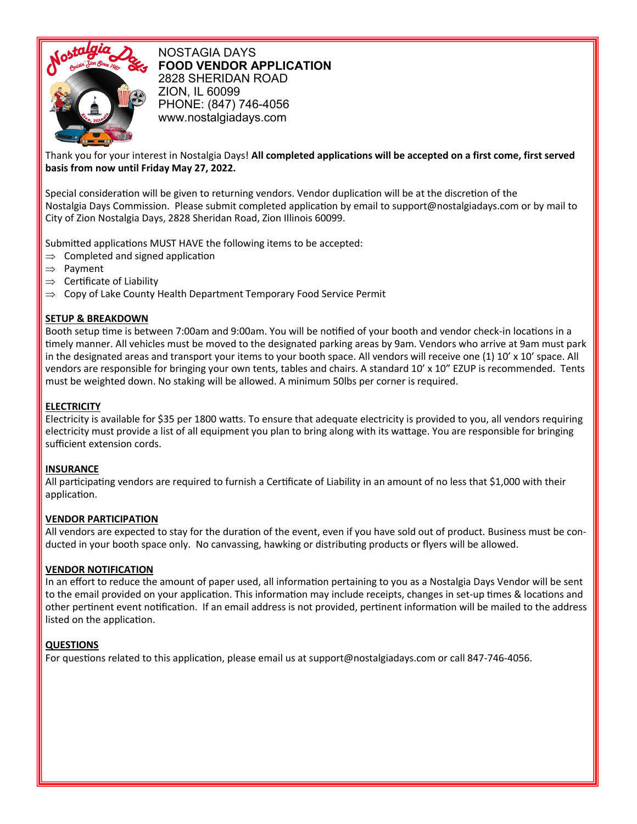

NOSTAGIA DAYS **FOOD VENDOR APPLICATION** 2828 SHERIDAN ROAD ZION, IL 60099 PHONE: (847) 746-4056 www.nostalgiadays.com

## Thank you for your interest in Nostalgia Days! **All completed applications will be accepted on a first come, first served basis from now until Friday May 27, 2022.**

Special consideration will be given to returning vendors. Vendor duplication will be at the discretion of the Nostalgia Days Commission. Please submit completed application by email to support@nostalgiadays.com or by mail to City of Zion Nostalgia Days, 2828 Sheridan Road, Zion Illinois 60099.

Submitted applications MUST HAVE the following items to be accepted:

- $\Rightarrow$  Completed and signed application
- $\Rightarrow$  Payment
- $\Rightarrow$  Certificate of Liability
- $\Rightarrow$  Copy of Lake County Health Department Temporary Food Service Permit

## **SETUP & BREAKDOWN**

Booth setup time is between 7:00am and 9:00am. You will be notified of your booth and vendor check-in locations in a timely manner. All vehicles must be moved to the designated parking areas by 9am. Vendors who arrive at 9am must park in the designated areas and transport your items to your booth space. All vendors will receive one (1) 10' x 10' space. All vendors are responsible for bringing your own tents, tables and chairs. A standard 10' x 10" EZUP is recommended. Tents must be weighted down. No staking will be allowed. A minimum 50lbs per corner is required.

# **ELECTRICITY**

electricity must provide a list of all equipment you plan to bring along with its wattage. You are responsible for bringing Electricity is available for \$35 per 1800 watts. To ensure that adequate electricity is provided to you, all vendors requiring sufficient extension cords.

### **INSURANCE**

All participating vendors are required to furnish a Certificate of Liability in an amount of no less that \$1,000 with their application.

### **VENDOR PARTICIPATION**

All vendors are expected to stay for the duration of the event, even if you have sold out of product. Business must be conducted in your booth space only. No canvassing, hawking or distributing products or flyers will be allowed.

# **VENDOR NOTIFICATION**

In an effort to reduce the amount of paper used, all information pertaining to you as a Nostalgia Days Vendor will be sent to the email provided on your application. This information may include receipts, changes in set-up times & locations and other pertinent event notification. If an email address is not provided, pertinent information will be mailed to the address listed on the application.

# **QUESTIONS**

For questions related to this application, please email us at support@nostalgiadays.com or call 847-746-4056.